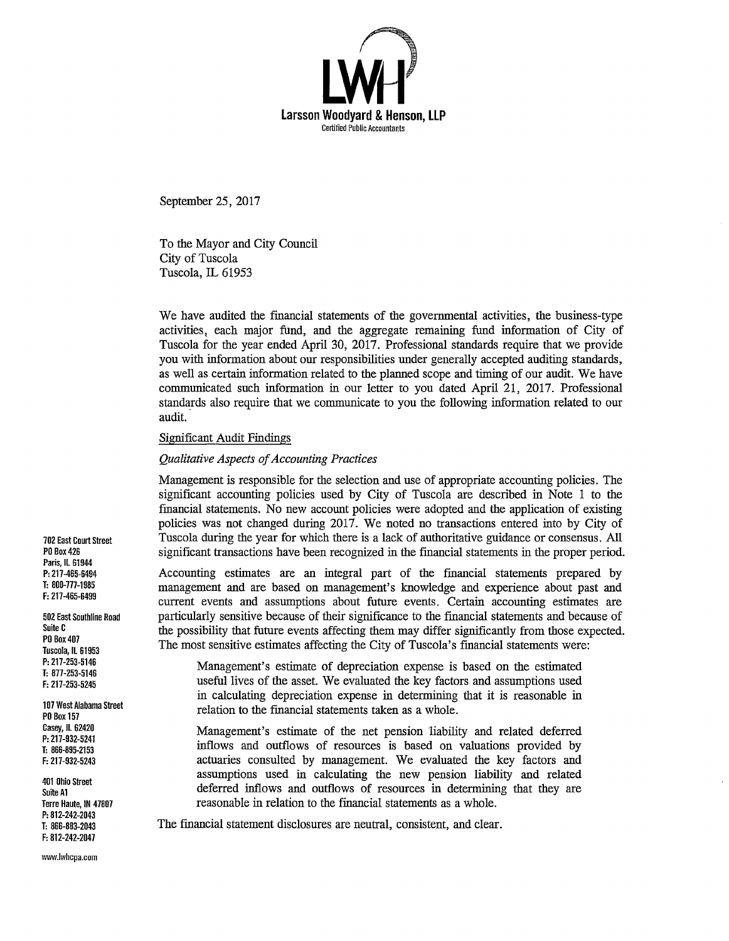

September 25, 2017

To the Mayor and City Council City of Tuscola Tuscola, IL 61953

We have audited the financial statements of the governmental activities, the business-type activities, each major fund, and the aggregate remaining fund information of City of Tuscola for the year ended April 30, 2017. Professional standards require that we provide you with information about our responsibilities under generally accepted auditing standards, as well as certain information related to the planned scope and timing of our audit. We have communicated such information in our letter to you dated April 21, 2017. Professional standards also require that we communicate to you the following information related to our audit.

#### Significant Audit Findings

#### *Qualitative Aspects of Accounting Practices*

Management is responsible for the selection and use of appropriate accounting policies. The significant accounting policies used by City of Tuscola are described in Note 1 to the financial statements. No new account policies were adopted and the application of existing policies was not changed during 2017. We noted no transactions entered into by City of Tuscola during the year for which there is a lack of authoritative guidance or consensus. All significant transactions have been recognized in the fmancial statements in the proper period.

Accounting estimates are an integral part of the financial statements prepared by management and are based on management's knowledge and experience about past and current events and assumptions about future events. Certain accounting estimates are particularly sensitive because of their significance to the fmancial statements and because of the possibility that future events affecting them may differ significantly from those expected. The most sensitive estimates affecting the City of Tuscola's fmancial statements were:

Management's estimate of depreciation expense is based on the estimated useful lives of the asset. We evaluated the key factors and assumptions used in calculating depreciation expense in determining that it is reasonable in relation to the fmancial statements taken as a whole.

Management's estimate of the net pension liability and related deferred inflows and outflows of resources is based on valuations provided by actuaries consulted by management. We evaluated the key factors and assumptions used in calculating the new pension liability and related deferred inflows and outflows of resources in determining that they are reasonable in relation to the financial statements as a whole.

The fmancial statement disclosures are neutral, consistent, and clear.

702 East Court Street PO Box426 Paris, IL 61944 P: 217-465-6494 T: 800-777-1985 F: 217-465-6499

502 East Southline Road Suite C PO Box407 Tuscola, IL 61953 P: 217-253-5146 T: 877-253-5146 F: 217-253-5245

107 West Alabama Street PO Box 157 Casey, IL 62420 P: 217-932-5241 T: 866-895-2153 F: 217-932-5243

401 Ohio Street Suite Al Terre Haute, IN 47807 P: 812-242-2043 T: 866-883-2043 F: 812-242-2047

1•11•1W.lwhcpa.com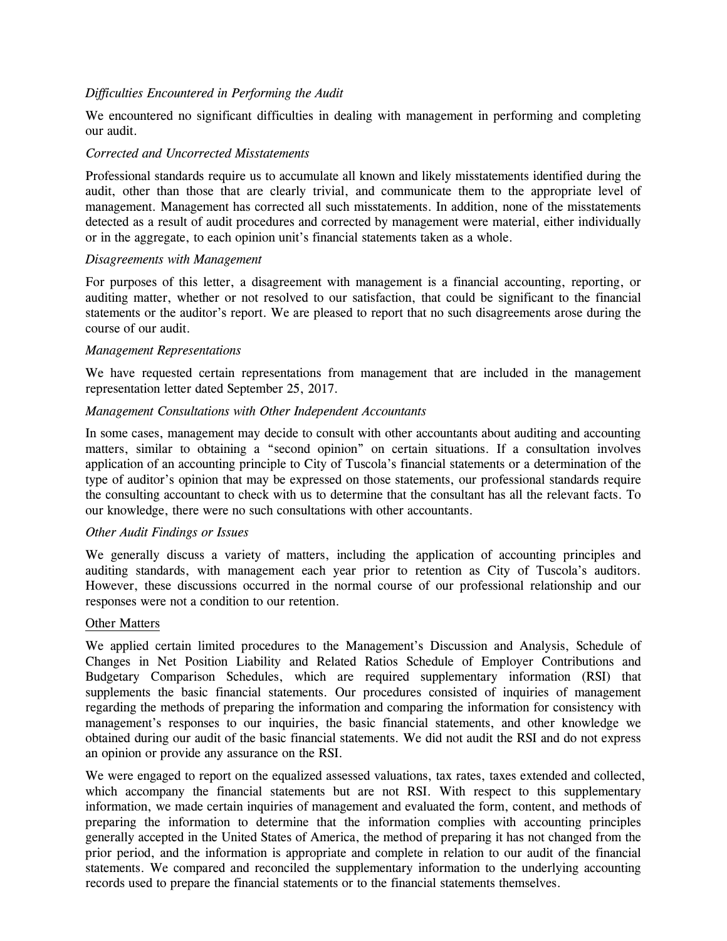# *Difficulties Encountered in Performing the Audit*

We encountered no significant difficulties in dealing with management in performing and completing our audit.

#### *Corrected and Uncorrected Misstatements*

Professional standards require us to accumulate all known and likely misstatements identified during the audit, other than those that are clearly trivial, and communicate them to the appropriate level of management. Management has corrected all such misstatements. In addition, none of the misstatements detected as a result of audit procedures and corrected by management were material, either individually or in the aggregate, to each opinion unit's financial statements taken as a whole.

## *Disagreements with Management*

For purposes of this letter, a disagreement with management is a financial accounting, reporting, or auditing matter, whether or not resolved to our satisfaction, that could be significant to the financial statements or the auditor's report. We are pleased to report that no such disagreements arose during the course of our audit.

## *Management Representations*

We have requested certain representations from management that are included in the management representation letter dated September 25, 2017.

## *Management Consultations with Other Independent Accountants*

In some cases, management may decide to consult with other accountants about auditing and accounting matters, similar to obtaining a "second opinion" on certain situations. If a consultation involves application of an accounting principle to City of Tuscola's financial statements or a determination of the type of auditor's opinion that may be expressed on those statements, our professional standards require the consulting accountant to check with us to determine that the consultant has all the relevant facts. To our knowledge, there were no such consultations with other accountants.

# *Other Audit Findings or Issues*

We generally discuss a variety of matters, including the application of accounting principles and auditing standards, with management each year prior to retention as City of Tuscola's auditors. However, these discussions occurred in the normal course of our professional relationship and our responses were not a condition to our retention.

#### Other Matters

We applied certain limited procedures to the Management's Discussion and Analysis, Schedule of Changes in Net Position Liability and Related Ratios Schedule of Employer Contributions and Budgetary Comparison Schedules, which are required supplementary information (RSI) that supplements the basic financial statements. Our procedures consisted of inquiries of management regarding the methods of preparing the information and comparing the information for consistency with management's responses to our inquiries, the basic financial statements, and other knowledge we obtained during our audit of the basic financial statements. We did not audit the RSI and do not express an opinion or provide any assurance on the RSI.

We were engaged to report on the equalized assessed valuations, tax rates, taxes extended and collected, which accompany the financial statements but are not RSI. With respect to this supplementary information, we made certain inquiries of management and evaluated the form, content, and methods of preparing the information to determine that the information complies with accounting principles generally accepted in the United States of America, the method of preparing it has not changed from the prior period, and the information is appropriate and complete in relation to our audit of the financial statements. We compared and reconciled the supplementary information to the underlying accounting records used to prepare the financial statements or to the financial statements themselves.